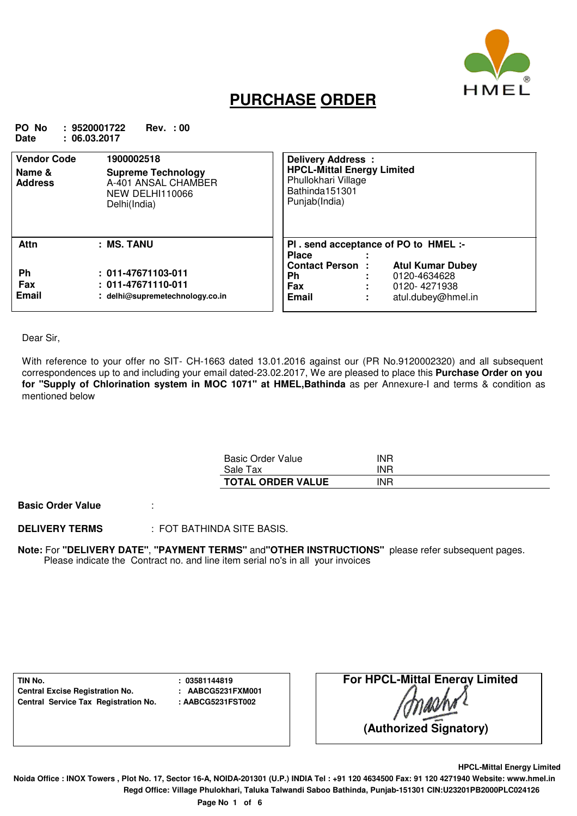

## **PURCHASE ORDER**

**PO No : 9520001722 Rev. : 00 Date : 06.03.2017**

| <b>Vendor Code</b><br>Name &<br><b>Address</b> | 1900002518<br><b>Supreme Technology</b><br>A-401 ANSAL CHAMBER<br>NEW DELHI110066<br>Delhi(India) | Delivery Address :<br><b>HPCL-Mittal Energy Limited</b><br>Phullokhari Village<br>Bathinda151301<br>Punjab(India)                    |
|------------------------------------------------|---------------------------------------------------------------------------------------------------|--------------------------------------------------------------------------------------------------------------------------------------|
| <b>Attn</b>                                    | : MS. TANU                                                                                        | PI . send acceptance of PO to HMEL :-<br><b>Place</b>                                                                                |
| <b>Ph</b><br>Fax<br><b>Email</b>               | $: 011 - 47671103 - 011$<br>$: 011 - 47671110 - 011$<br>delhi@supremetechnology.co.in             | <b>Contact Person:</b><br><b>Atul Kumar Dubey</b><br><b>Ph</b><br>0120-4634628<br>Fax<br>0120-4271938<br>Email<br>atul.dubey@hmel.in |

Dear Sir,

With reference to your offer no SIT- CH-1663 dated 13.01.2016 against our (PR No.9120002320) and all subsequent correspondences up to and including your email dated-23.02.2017, We are pleased to place this **Purchase Order on you for "Supply of Chlorination system in MOC 1071" at HMEL,Bathinda** as per Annexure-I and terms & condition as mentioned below

| Basic Order Value        | INR |  |
|--------------------------|-----|--|
| Sale Tax                 | INR |  |
| <b>TOTAL ORDER VALUE</b> | INR |  |

**Basic Order Value** :

**DELIVERY TERMS** : FOT BATHINDA SITE BASIS.

**Note:** For **"DELIVERY DATE"**, **"PAYMENT TERMS"** and**"OTHER INSTRUCTIONS"** please refer subsequent pages. Please indicate the Contract no. and line item serial no's in all your invoices

**TIN No. : 03581144819 Central Excise Registration No. : AABCG5231FXM001 Central Service Tax Registration No. : AABCG5231FST002**

**HPCL-Mittal Energy Limited**

**Noida Office : INOX Towers , Plot No. 17, Sector 16-A, NOIDA-201301 (U.P.) INDIA Tel : +91 120 4634500 Fax: 91 120 4271940 Website: www.hmel.in Regd Office: Village Phulokhari, Taluka Talwandi Saboo Bathinda, Punjab-151301 CIN:U23201PB2000PLC024126**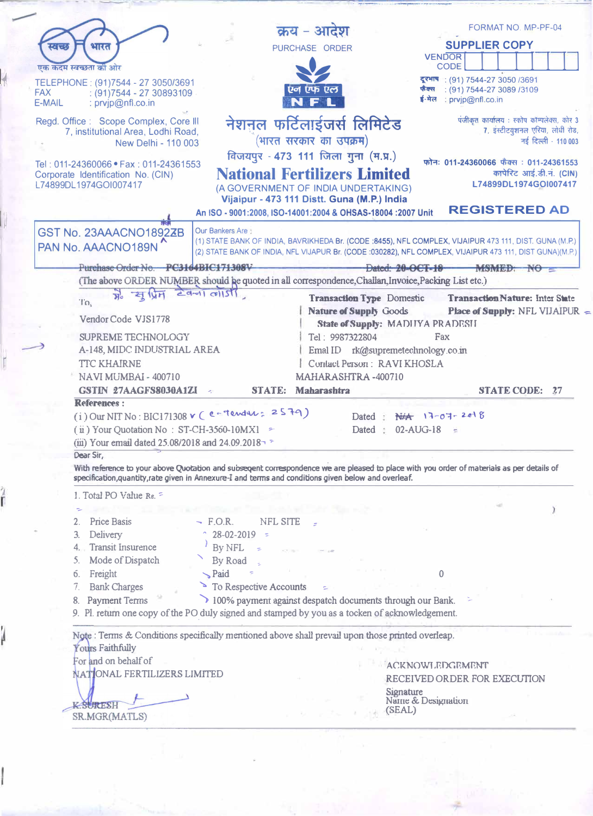|                                                                                                                                           |                         | क्रय - आदेश                                                                                                |                                          | FORMAT NO. MP-PF-04                              |                     |
|-------------------------------------------------------------------------------------------------------------------------------------------|-------------------------|------------------------------------------------------------------------------------------------------------|------------------------------------------|--------------------------------------------------|---------------------|
| ेारत<br>空電的                                                                                                                               |                         | PURCHASE ORDER                                                                                             |                                          | <b>SUPPLIER COPY</b>                             |                     |
| एक कदम स्वच्छता को ओर                                                                                                                     |                         |                                                                                                            | <b>VENDOR</b><br><b>CODE</b>             |                                                  |                     |
| TELEPHONE: (91)7544 - 27 3050/3691                                                                                                        |                         |                                                                                                            |                                          | दूरभाष: (91) 7544-27 3050 /3691                  |                     |
| <b>FAX</b><br>$(91)7544 - 2730893109$                                                                                                     |                         | एन एफ एल                                                                                                   | फैक्स                                    | $(91)$ 7544-27 3089 /3109                        |                     |
| E-MAIL<br>: prvjp@nfl.co.in                                                                                                               |                         |                                                                                                            | ई-मेल : prvjp@nfl.co.in                  |                                                  |                     |
| Regd. Office: Scope Complex, Core III                                                                                                     |                         | नेशनल फर्टिलाईजर्स लिमिटेड                                                                                 |                                          | पंजीकृत कार्यालय: स्कोप कॉम्पलेक्स, कोर 3        |                     |
| 7, institutional Area, Lodhi Road,                                                                                                        |                         | (भारत सरकार का उपक्रम)                                                                                     |                                          | 7. इंस्टीटयुशनल एरिया, लोधी रोड,                 | नई दिल्ली - 110 003 |
| New Delhi - 110 003                                                                                                                       |                         |                                                                                                            |                                          |                                                  |                     |
| Tel: 011-24360066 • Fax: 011-24361553                                                                                                     |                         | विजयपुर - 473 111 जिला गुना (म.प्र.)                                                                       |                                          | फोनः 011-24360066 फैक्स: 011-24361553            |                     |
| Corporate Identification No. (CIN)                                                                                                        |                         | <b>National Fertilizers Limited</b>                                                                        |                                          | कापेरिट आई.डी.नं. (CIN)<br>L74899DL1974GOI007417 |                     |
| L74899DL1974GOI007417                                                                                                                     |                         | (A GOVERNMENT OF INDIA UNDERTAKING)                                                                        |                                          |                                                  |                     |
|                                                                                                                                           |                         | Vijaipur - 473 111 Distt. Guna (M.P.) India<br>An ISO - 9001:2008, ISO-14001:2004 & OHSAS-18004 :2007 Unit |                                          | <b>REGISTERED AD</b>                             |                     |
|                                                                                                                                           |                         |                                                                                                            |                                          |                                                  |                     |
| GST No. 23AAACNO1892ZB                                                                                                                    | <b>Our Bankers Are:</b> | (1) STATE BANK OF INDIA, BAVRIKHEDA Br. (CODE :8455), NFL COMPLEX, VIJAIPUR 473 111, DIST. GUNA (M.P.)     |                                          |                                                  |                     |
| PAN No. AAACNO189N                                                                                                                        |                         | (2) STATE BANK OF INDIA, NFL VIJAPUR Br. (CODE :030282), NFL COMPLEX, VIJAIPUR 473 111, DIST GUNA)(M.P.)   |                                          |                                                  |                     |
| Purchase Order No. PC3164BIC171308V                                                                                                       |                         |                                                                                                            | Dated: $20$ -OCT-18 - MSMED: NO $\equiv$ |                                                  |                     |
| (The above ORDER NUMBER should be quoted in all correspondence, Challan, Invoice, Packing List etc.)                                      |                         |                                                                                                            |                                          |                                                  |                     |
| $\frac{1}{H_0}$ $\frac{1}{H_0}$ $\frac{1}{H_1}$                                                                                           | $29 - 10151$            | Transaction Type Domestic                                                                                  |                                          | Transaction Nature: Inter State                  |                     |
| Ί'n.                                                                                                                                      |                         | <b>Nature of Supply Goods</b>                                                                              |                                          | Place of Supply: NFL VIJAIPUR                    |                     |
| Vendor Code VJS1778                                                                                                                       |                         | State of Supply: MADIIYA PRADESII                                                                          |                                          |                                                  |                     |
| <b>SUPREME TECHNOLOGY</b>                                                                                                                 |                         | Tel: 9987322804                                                                                            | Fax                                      |                                                  |                     |
| A-148, MIDC INDUSTRIAL AREA                                                                                                               |                         | Emal ID rk@supremetechnology.co.in                                                                         |                                          |                                                  |                     |
| <b>TTC KHAIRNE</b>                                                                                                                        |                         | Contact Person: RAVI KHOSLA                                                                                |                                          |                                                  |                     |
| NAVI MUMBAI - 400710                                                                                                                      |                         | MAHARASHTRA-400710                                                                                         |                                          |                                                  |                     |
| GSTIN 27AAGFS8030A1ZI                                                                                                                     | <b>STATE:</b><br>$\sim$ | <b>Maharashtra</b>                                                                                         |                                          | <b>STATE CODE: 27</b>                            |                     |
| References:<br>$(i)$ Our NIT No: BIC171308 v (e-Tender: 2579)                                                                             |                         | Dated :                                                                                                    | $N#$ $17-07-2018$                        |                                                  |                     |
| $(i)$ Your Quotation No: ST-CH-3560-10MX1 =                                                                                               |                         | Dated :                                                                                                    | 02-AUG-18                                |                                                  |                     |
| (iii) Your email dated 25.08/2018 and 24.09.2018                                                                                          |                         |                                                                                                            |                                          |                                                  |                     |
| Dear Sir.                                                                                                                                 |                         |                                                                                                            |                                          |                                                  |                     |
| With reference to your above Quotation and subseqent correspondence we are pleased to place with you order of materials as per details of |                         |                                                                                                            |                                          |                                                  |                     |
| specification, quantity, rate given in Annexure-I and terms and conditions given below and overleaf.                                      |                         |                                                                                                            |                                          |                                                  |                     |
| 1. Total PO Value Re. =                                                                                                                   |                         |                                                                                                            |                                          |                                                  |                     |
|                                                                                                                                           |                         |                                                                                                            |                                          |                                                  |                     |
| Price Basis<br>2.                                                                                                                         | $-$ F.O.R.<br>NFL SITE  |                                                                                                            |                                          |                                                  |                     |
| Delivery<br>3.                                                                                                                            | $28-02-2019$ =          |                                                                                                            |                                          |                                                  |                     |
| <b>Transit Insurence</b><br>4.                                                                                                            | By NFL                  |                                                                                                            |                                          |                                                  |                     |
| Mode of Dispatch<br>5.                                                                                                                    | By Road<br>$\sum$ Paid  |                                                                                                            | $\Omega$                                 |                                                  |                     |
| Freight<br>б.<br>7.<br><b>Bank Charges</b>                                                                                                | To Respective Accounts  |                                                                                                            |                                          |                                                  |                     |
| <b>Payment Terms</b><br>8.                                                                                                                |                         | 100% payment against despatch documents through our Bank.                                                  |                                          |                                                  |                     |
| 9. Pl. return one copy of the PO duly signed and stamped by you as a tocken of acknowledgement.                                           |                         |                                                                                                            |                                          |                                                  |                     |
|                                                                                                                                           |                         |                                                                                                            |                                          |                                                  |                     |
| Note: Terms & Conditions specifically mentioned above shall prevail upon those printed overleap.                                          |                         |                                                                                                            |                                          |                                                  |                     |
| Yours Faithfully                                                                                                                          |                         |                                                                                                            |                                          |                                                  |                     |
| For and on behalf of                                                                                                                      |                         |                                                                                                            | <b>ACKNOWLEDGEMENT</b>                   |                                                  |                     |
| NATIONAL FERTILIZERS LIMITED                                                                                                              |                         |                                                                                                            | RECEIVED ORDER FOR EXECUTION             |                                                  |                     |

K SURESH

ŕ

J

Signature<br>Name & Designation<br>(SEAL)

Q)